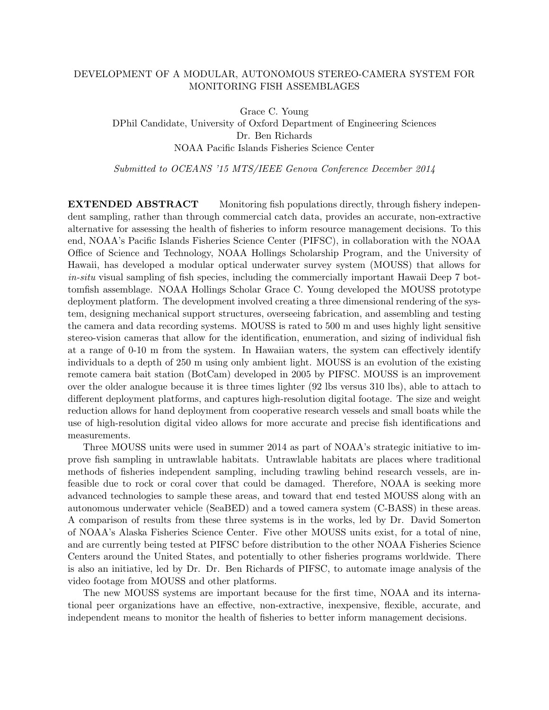## DEVELOPMENT OF A MODULAR, AUTONOMOUS STEREO-CAMERA SYSTEM FOR MONITORING FISH ASSEMBLAGES

Grace C. Young

DPhil Candidate, University of Oxford Department of Engineering Sciences Dr. Ben Richards NOAA Pacific Islands Fisheries Science Center

Submitted to OCEANS '15 MTS/IEEE Genova Conference December 2014

**EXTENDED ABSTRACT** Monitoring fish populations directly, through fishery independent sampling, rather than through commercial catch data, provides an accurate, non-extractive alternative for assessing the health of fisheries to inform resource management decisions. To this end, NOAA's Pacific Islands Fisheries Science Center (PIFSC), in collaboration with the NOAA Office of Science and Technology, NOAA Hollings Scholarship Program, and the University of Hawaii, has developed a modular optical underwater survey system (MOUSS) that allows for in-situ visual sampling of fish species, including the commercially important Hawaii Deep 7 bottomfish assemblage. NOAA Hollings Scholar Grace C. Young developed the MOUSS prototype deployment platform. The development involved creating a three dimensional rendering of the system, designing mechanical support structures, overseeing fabrication, and assembling and testing the camera and data recording systems. MOUSS is rated to 500 m and uses highly light sensitive stereo-vision cameras that allow for the identification, enumeration, and sizing of individual fish at a range of 0-10 m from the system. In Hawaiian waters, the system can effectively identify individuals to a depth of 250 m using only ambient light. MOUSS is an evolution of the existing remote camera bait station (BotCam) developed in 2005 by PIFSC. MOUSS is an improvement over the older analogue because it is three times lighter (92 lbs versus 310 lbs), able to attach to different deployment platforms, and captures high-resolution digital footage. The size and weight reduction allows for hand deployment from cooperative research vessels and small boats while the use of high-resolution digital video allows for more accurate and precise fish identifications and measurements.

Three MOUSS units were used in summer 2014 as part of NOAA's strategic initiative to improve fish sampling in untrawlable habitats. Untrawlable habitats are places where traditional methods of fisheries independent sampling, including trawling behind research vessels, are infeasible due to rock or coral cover that could be damaged. Therefore, NOAA is seeking more advanced technologies to sample these areas, and toward that end tested MOUSS along with an autonomous underwater vehicle (SeaBED) and a towed camera system (C-BASS) in these areas. A comparison of results from these three systems is in the works, led by Dr. David Somerton of NOAA's Alaska Fisheries Science Center. Five other MOUSS units exist, for a total of nine, and are currently being tested at PIFSC before distribution to the other NOAA Fisheries Science Centers around the United States, and potentially to other fisheries programs worldwide. There is also an initiative, led by Dr. Dr. Ben Richards of PIFSC, to automate image analysis of the video footage from MOUSS and other platforms.

The new MOUSS systems are important because for the first time, NOAA and its international peer organizations have an effective, non-extractive, inexpensive, flexible, accurate, and independent means to monitor the health of fisheries to better inform management decisions.